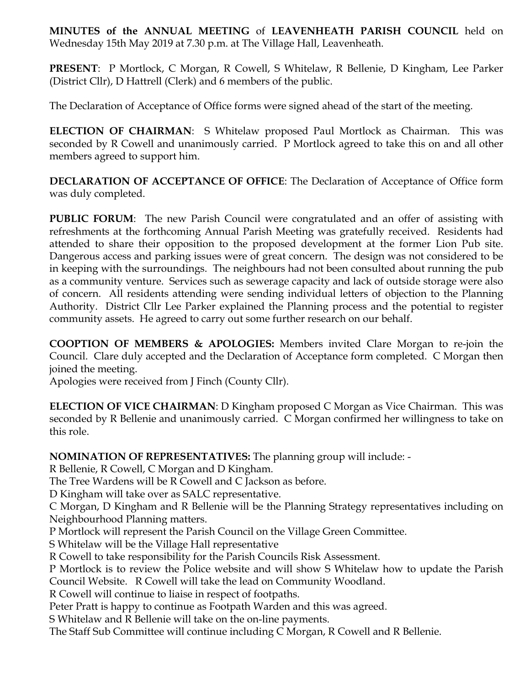**MINUTES of the ANNUAL MEETING** of **LEAVENHEATH PARISH COUNCIL** held on Wednesday 15th May 2019 at 7.30 p.m. at The Village Hall, Leavenheath.

**PRESENT**: P Mortlock, C Morgan, R Cowell, S Whitelaw, R Bellenie, D Kingham, Lee Parker (District Cllr), D Hattrell (Clerk) and 6 members of the public.

The Declaration of Acceptance of Office forms were signed ahead of the start of the meeting.

**ELECTION OF CHAIRMAN**: S Whitelaw proposed Paul Mortlock as Chairman. This was seconded by R Cowell and unanimously carried. P Mortlock agreed to take this on and all other members agreed to support him.

**DECLARATION OF ACCEPTANCE OF OFFICE**: The Declaration of Acceptance of Office form was duly completed.

**PUBLIC FORUM**: The new Parish Council were congratulated and an offer of assisting with refreshments at the forthcoming Annual Parish Meeting was gratefully received. Residents had attended to share their opposition to the proposed development at the former Lion Pub site. Dangerous access and parking issues were of great concern. The design was not considered to be in keeping with the surroundings. The neighbours had not been consulted about running the pub as a community venture. Services such as sewerage capacity and lack of outside storage were also of concern. All residents attending were sending individual letters of objection to the Planning Authority. District Cllr Lee Parker explained the Planning process and the potential to register community assets. He agreed to carry out some further research on our behalf.

**COOPTION OF MEMBERS & APOLOGIES:** Members invited Clare Morgan to re-join the Council. Clare duly accepted and the Declaration of Acceptance form completed. C Morgan then joined the meeting.

Apologies were received from J Finch (County Cllr).

**ELECTION OF VICE CHAIRMAN**: D Kingham proposed C Morgan as Vice Chairman. This was seconded by R Bellenie and unanimously carried. C Morgan confirmed her willingness to take on this role.

**NOMINATION OF REPRESENTATIVES:** The planning group will include: -

R Bellenie, R Cowell, C Morgan and D Kingham.

The Tree Wardens will be R Cowell and C Jackson as before.

D Kingham will take over as SALC representative.

C Morgan, D Kingham and R Bellenie will be the Planning Strategy representatives including on Neighbourhood Planning matters.

P Mortlock will represent the Parish Council on the Village Green Committee.

S Whitelaw will be the Village Hall representative

R Cowell to take responsibility for the Parish Councils Risk Assessment.

P Mortlock is to review the Police website and will show S Whitelaw how to update the Parish Council Website. R Cowell will take the lead on Community Woodland.

R Cowell will continue to liaise in respect of footpaths.

Peter Pratt is happy to continue as Footpath Warden and this was agreed.

S Whitelaw and R Bellenie will take on the on-line payments.

The Staff Sub Committee will continue including C Morgan, R Cowell and R Bellenie.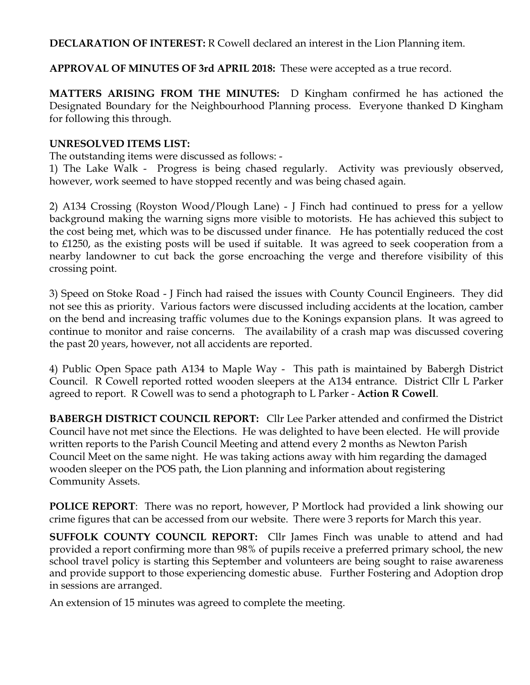**DECLARATION OF INTEREST:** R Cowell declared an interest in the Lion Planning item.

**APPROVAL OF MINUTES OF 3rd APRIL 2018:** These were accepted as a true record.

**MATTERS ARISING FROM THE MINUTES:** D Kingham confirmed he has actioned the Designated Boundary for the Neighbourhood Planning process. Everyone thanked D Kingham for following this through.

## **UNRESOLVED ITEMS LIST:**

The outstanding items were discussed as follows: -

1) The Lake Walk - Progress is being chased regularly. Activity was previously observed, however, work seemed to have stopped recently and was being chased again.

2) A134 Crossing (Royston Wood/Plough Lane) - J Finch had continued to press for a yellow background making the warning signs more visible to motorists. He has achieved this subject to the cost being met, which was to be discussed under finance. He has potentially reduced the cost to £1250, as the existing posts will be used if suitable. It was agreed to seek cooperation from a nearby landowner to cut back the gorse encroaching the verge and therefore visibility of this crossing point.

3) Speed on Stoke Road - J Finch had raised the issues with County Council Engineers. They did not see this as priority. Various factors were discussed including accidents at the location, camber on the bend and increasing traffic volumes due to the Konings expansion plans. It was agreed to continue to monitor and raise concerns. The availability of a crash map was discussed covering the past 20 years, however, not all accidents are reported.

4) Public Open Space path A134 to Maple Way - This path is maintained by Babergh District Council. R Cowell reported rotted wooden sleepers at the A134 entrance. District Cllr L Parker agreed to report. R Cowell was to send a photograph to L Parker - **Action R Cowell**.

**BABERGH DISTRICT COUNCIL REPORT:** Cllr Lee Parker attended and confirmed the District Council have not met since the Elections. He was delighted to have been elected. He will provide written reports to the Parish Council Meeting and attend every 2 months as Newton Parish Council Meet on the same night. He was taking actions away with him regarding the damaged wooden sleeper on the POS path, the Lion planning and information about registering Community Assets.

**POLICE REPORT**: There was no report, however, P Mortlock had provided a link showing our crime figures that can be accessed from our website. There were 3 reports for March this year.

**SUFFOLK COUNTY COUNCIL REPORT:** Cllr James Finch was unable to attend and had provided a report confirming more than 98% of pupils receive a preferred primary school, the new school travel policy is starting this September and volunteers are being sought to raise awareness and provide support to those experiencing domestic abuse. Further Fostering and Adoption drop in sessions are arranged.

An extension of 15 minutes was agreed to complete the meeting.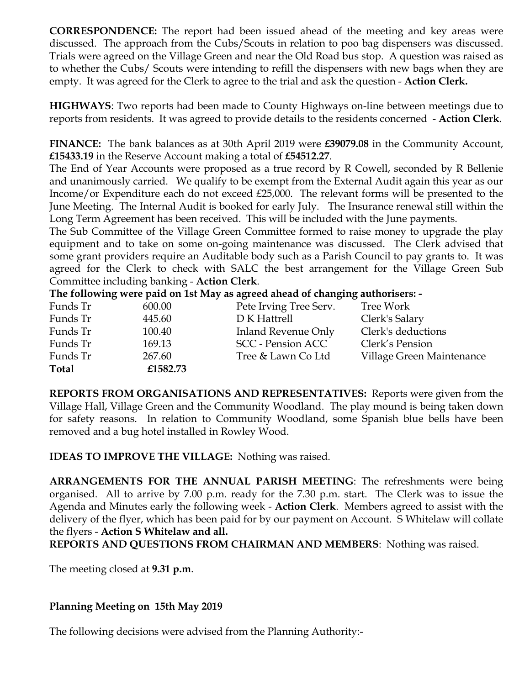**CORRESPONDENCE:** The report had been issued ahead of the meeting and key areas were discussed. The approach from the Cubs/Scouts in relation to poo bag dispensers was discussed. Trials were agreed on the Village Green and near the Old Road bus stop. A question was raised as to whether the Cubs/ Scouts were intending to refill the dispensers with new bags when they are empty. It was agreed for the Clerk to agree to the trial and ask the question - **Action Clerk.** 

**HIGHWAYS**: Two reports had been made to County Highways on-line between meetings due to reports from residents. It was agreed to provide details to the residents concerned - **Action Clerk**.

**FINANCE:** The bank balances as at 30th April 2019 were **£39079.08** in the Community Account, **£15433.19** in the Reserve Account making a total of **£54512.27**.

The End of Year Accounts were proposed as a true record by R Cowell, seconded by R Bellenie and unanimously carried. We qualify to be exempt from the External Audit again this year as our Income/or Expenditure each do not exceed £25,000. The relevant forms will be presented to the June Meeting. The Internal Audit is booked for early July. The Insurance renewal still within the Long Term Agreement has been received. This will be included with the June payments.

The Sub Committee of the Village Green Committee formed to raise money to upgrade the play equipment and to take on some on-going maintenance was discussed. The Clerk advised that some grant providers require an Auditable body such as a Parish Council to pay grants to. It was agreed for the Clerk to check with SALC the best arrangement for the Village Green Sub Committee including banking - **Action Clerk**.

**The following were paid on 1st May as agreed ahead of changing authorisers: -**

| Funds Tr     | 600.00   | Pete Irving Tree Serv.   | Tree Work                 |
|--------------|----------|--------------------------|---------------------------|
| Funds Tr     | 445.60   | D K Hattrell             | Clerk's Salary            |
| Funds Tr     | 100.40   | Inland Revenue Only      | Clerk's deductions        |
| Funds Tr     | 169.13   | <b>SCC</b> - Pension ACC | Clerk's Pension           |
| Funds Tr     | 267.60   | Tree & Lawn Co Ltd       | Village Green Maintenance |
| <b>Total</b> | £1582.73 |                          |                           |

**REPORTS FROM ORGANISATIONS AND REPRESENTATIVES:** Reports were given from the Village Hall, Village Green and the Community Woodland. The play mound is being taken down for safety reasons. In relation to Community Woodland, some Spanish blue bells have been removed and a bug hotel installed in Rowley Wood.

**IDEAS TO IMPROVE THE VILLAGE:** Nothing was raised.

**ARRANGEMENTS FOR THE ANNUAL PARISH MEETING**: The refreshments were being organised. All to arrive by 7.00 p.m. ready for the 7.30 p.m. start. The Clerk was to issue the Agenda and Minutes early the following week - **Action Clerk**. Members agreed to assist with the delivery of the flyer, which has been paid for by our payment on Account. S Whitelaw will collate the flyers - **Action S Whitelaw and all.**

**REPORTS AND QUESTIONS FROM CHAIRMAN AND MEMBERS**: Nothing was raised.

The meeting closed at **9.31 p.m**.

## **Planning Meeting on 15th May 2019**

The following decisions were advised from the Planning Authority:-